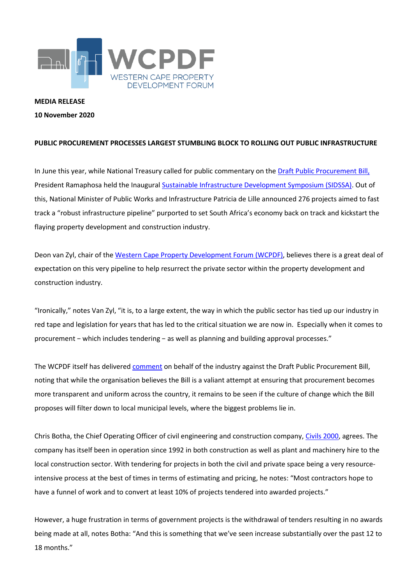

## **MEDIA RELEASE**

## **10 November 2020**

## **PUBLIC PROCUREMENT PROCESSES LARGEST STUMBLING BLOCK TO ROLLING OUT PUBLIC INFRASTRUCTURE**

In June this year, while National Treasury called for public commentary on th[e Draft Public Procurement Bill,](https://www.wcpdf.org.za/wp-content/uploads/2020/07/Public-Procurement-Bill-for-public-comment-19-Feb-2020.pdf) President Ramaphosa held the Inaugura[l Sustainable Infrastructure Development Symposium \(SIDSSA\).](https://sidssa.org.za/) Out of this, National Minister of Public Works and Infrastructure Patricia de Lille announced 276 projects aimed to fast track a "robust infrastructure pipeline" purported to set South Africa's economy back on track and kickstart the flaying property development and construction industry.

Deon van Zyl, chair of the [Western Cape Property Development Forum \(WCPDF\),](https://www.wcpdf.org.za/) believes there is a great deal of expectation on this very pipeline to help resurrect the private sector within the property development and construction industry.

"Ironically," notes Van Zyl, "it is, to a large extent, the way in which the public sector has tied up our industry in red tape and legislation for years that has led to the critical situation we are now in. Especially when it comes to procurement − which includes tendering − as well as planning and building approval processes."

The WCPDF itself has delivered [comment](https://www.wcpdf.org.za/wp-content/uploads/2020/07/20200630-WCPDF-Comment-on-the-Draft-Public-Procurement-Bill.pdf) on behalf of the industry against the Draft Public Procurement Bill, noting that while the organisation believes the Bill is a valiant attempt at ensuring that procurement becomes more transparent and uniform across the country, it remains to be seen if the culture of change which the Bill proposes will filter down to local municipal levels, where the biggest problems lie in.

Chris Botha, the Chief Operating Officer of civil engineering and construction company[, Civils 2000,](https://www.civils2000.co.za/) agrees. The company has itself been in operation since 1992 in both construction as well as plant and machinery hire to the local construction sector. With tendering for projects in both the civil and private space being a very resourceintensive process at the best of times in terms of estimating and pricing, he notes: "Most contractors hope to have a funnel of work and to convert at least 10% of projects tendered into awarded projects."

However, a huge frustration in terms of government projects is the withdrawal of tenders resulting in no awards being made at all, notes Botha: "And this is something that we've seen increase substantially over the past 12 to 18 months."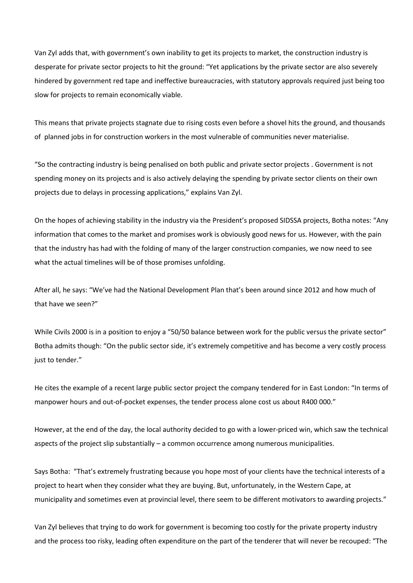Van Zyl adds that, with government's own inability to get its projects to market, the construction industry is desperate for private sector projects to hit the ground: "Yet applications by the private sector are also severely hindered by government red tape and ineffective bureaucracies, with statutory approvals required just being too slow for projects to remain economically viable.

This means that private projects stagnate due to rising costs even before a shovel hits the ground, and thousands of planned jobs in for construction workers in the most vulnerable of communities never materialise.

"So the contracting industry is being penalised on both public and private sector projects . Government is not spending money on its projects and is also actively delaying the spending by private sector clients on their own projects due to delays in processing applications," explains Van Zyl.

On the hopes of achieving stability in the industry via the President's proposed SIDSSA projects, Botha notes: "Any information that comes to the market and promises work is obviously good news for us. However, with the pain that the industry has had with the folding of many of the larger construction companies, we now need to see what the actual timelines will be of those promises unfolding.

After all, he says: "We've had the National Development Plan that's been around since 2012 and how much of that have we seen?"

While Civils 2000 is in a position to enjoy a "50/50 balance between work for the public versus the private sector" Botha admits though: "On the public sector side, it's extremely competitive and has become a very costly process just to tender."

He cites the example of a recent large public sector project the company tendered for in East London: "In terms of manpower hours and out-of-pocket expenses, the tender process alone cost us about R400 000."

However, at the end of the day, the local authority decided to go with a lower-priced win, which saw the technical aspects of the project slip substantially – a common occurrence among numerous municipalities.

Says Botha: "That's extremely frustrating because you hope most of your clients have the technical interests of a project to heart when they consider what they are buying. But, unfortunately, in the Western Cape, at municipality and sometimes even at provincial level, there seem to be different motivators to awarding projects."

Van Zyl believes that trying to do work for government is becoming too costly for the private property industry and the process too risky, leading often expenditure on the part of the tenderer that will never be recouped: "The